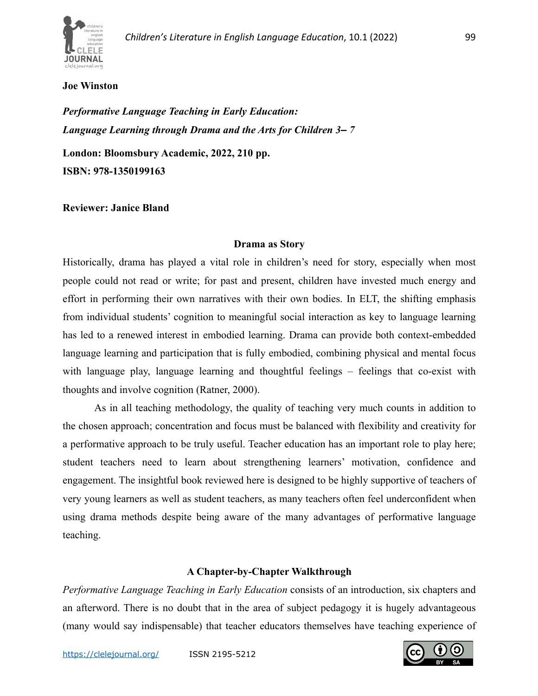

## **Joe Winston**

*Performative Language Teaching in Early Education: Language Learning through Drama and the Arts for Children 3– 7*

**London: Bloomsbury Academic, 2022, 210 pp. ISBN: 978-1350199163**

**Reviewer: Janice Bland**

## **Drama as Story**

Historically, drama has played a vital role in children's need for story, especially when most people could not read or write; for past and present, children have invested much energy and effort in performing their own narratives with their own bodies. In ELT, the shifting emphasis from individual students' cognition to meaningful social interaction as key to language learning has led to a renewed interest in embodied learning. Drama can provide both context-embedded language learning and participation that is fully embodied, combining physical and mental focus with language play, language learning and thoughtful feelings – feelings that co-exist with thoughts and involve cognition (Ratner, 2000).

As in all teaching methodology, the quality of teaching very much counts in addition to the chosen approach; concentration and focus must be balanced with flexibility and creativity for a performative approach to be truly useful. Teacher education has an important role to play here; student teachers need to learn about strengthening learners' motivation, confidence and engagement. The insightful book reviewed here is designed to be highly supportive of teachers of very young learners as well as student teachers, as many teachers often feel underconfident when using drama methods despite being aware of the many advantages of performative language teaching.

## **A Chapter-by-Chapter Walkthrough**

*Performative Language Teaching in Early Education* consists of an introduction, six chapters and an afterword. There is no doubt that in the area of subject pedagogy it is hugely advantageous (many would say indispensable) that teacher educators themselves have teaching experience of

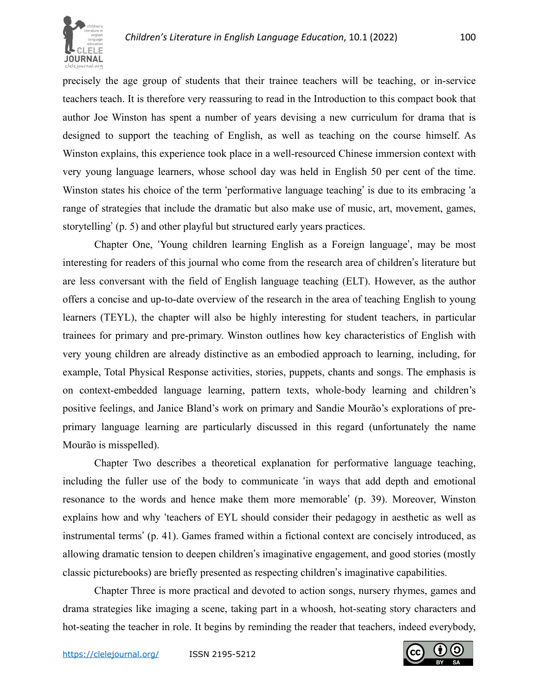

precisely the age group of students that their trainee teachers will be teaching, or in-service teachers teach. It is therefore very reassuring to read in the Introduction to this compact book that author Joe Winston has spent a number of years devising a new curriculum for drama that is designed to support the teaching of English, as well as teaching on the course himself. As Winston explains, this experience took place in a well-resourced Chinese immersion context with very young language learners, whose school day was held in English 50 per cent of the time. Winston states his choice of the term 'performative language teaching' is due to its embracing 'a range of strategies that include the dramatic but also make use of music, art, movement, games, storytelling' (p. 5) and other playful but structured early years practices.

Chapter One, 'Young children learning English as a Foreign language', may be most interesting for readers of this journal who come from the research area of children's literature but are less conversant with the field of English language teaching (ELT). However, as the author offers a concise and up-to-date overview of the research in the area of teaching English to young learners (TEYL), the chapter will also be highly interesting for student teachers, in particular trainees for primary and pre-primary. Winston outlines how key characteristics of English with very young children are already distinctive as an embodied approach to learning, including, for example, Total Physical Response activities, stories, puppets, chants and songs. The emphasis is on context-embedded language learning, pattern texts, whole-body learning and children's positive feelings, and Janice Bland's work on primary and Sandie Mourão's explorations of preprimary language learning are particularly discussed in this regard (unfortunately the name Mourão is misspelled).

Chapter Two describes a theoretical explanation for performative language teaching, including the fuller use of the body to communicate 'in ways that add depth and emotional resonance to the words and hence make them more memorable' (p. 39). Moreover, Winston explains how and why 'teachers of EYL should consider their pedagogy in aesthetic as well as instrumental terms' (p. 41). Games framed within a fictional context are concisely introduced, as allowing dramatic tension to deepen children's imaginative engagement, and good stories (mostly classic picturebooks) are briefly presented as respecting children's imaginative capabilities.

Chapter Three is more practical and devoted to action songs, nursery rhymes, games and drama strategies like imaging a scene, taking part in a whoosh, hot-seating story characters and hot-seating the teacher in role. It begins by reminding the reader that teachers, indeed everybody,

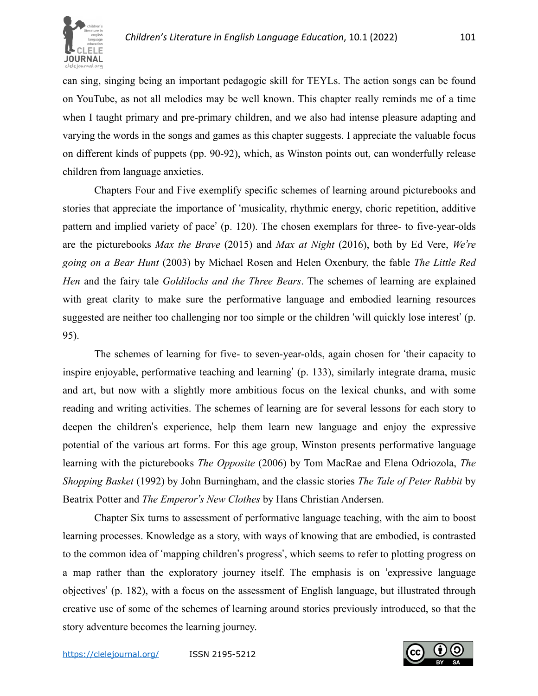

can sing, singing being an important pedagogic skill for TEYLs. The action songs can be found on YouTube, as not all melodies may be well known. This chapter really reminds me of a time when I taught primary and pre-primary children, and we also had intense pleasure adapting and varying the words in the songs and games as this chapter suggests. I appreciate the valuable focus on different kinds of puppets (pp. 90-92), which, as Winston points out, can wonderfully release children from language anxieties.

Chapters Four and Five exemplify specific schemes of learning around picturebooks and stories that appreciate the importance of 'musicality, rhythmic energy, choric repetition, additive pattern and implied variety of pace' (p. 120). The chosen exemplars for three- to five-year-olds are the picturebooks *Max the Brave* (2015) and *Max at Night* (2016), both by Ed Vere, *We're going on a Bear Hunt* (2003) by Michael Rosen and Helen Oxenbury, the fable *The Little Red Hen* and the fairy tale *Goldilocks and the Three Bears*. The schemes of learning are explained with great clarity to make sure the performative language and embodied learning resources suggested are neither too challenging nor too simple or the children 'will quickly lose interest' (p. 95).

The schemes of learning for five- to seven-year-olds, again chosen for 'their capacity to inspire enjoyable, performative teaching and learning' (p. 133), similarly integrate drama, music and art, but now with a slightly more ambitious focus on the lexical chunks, and with some reading and writing activities. The schemes of learning are for several lessons for each story to deepen the children's experience, help them learn new language and enjoy the expressive potential of the various art forms. For this age group, Winston presents performative language learning with the picturebooks *The Opposite* (2006) by Tom MacRae and Elena Odriozola, *The Shopping Basket* (1992) by John Burningham, and the classic stories *The Tale of Peter Rabbit* by Beatrix Potter and *The Emperor's New Clothes* by Hans Christian Andersen.

Chapter Six turns to assessment of performative language teaching, with the aim to boost learning processes. Knowledge as a story, with ways of knowing that are embodied, is contrasted to the common idea of 'mapping children's progress', which seems to refer to plotting progress on a map rather than the exploratory journey itself. The emphasis is on 'expressive language objectives' (p. 182), with a focus on the assessment of English language, but illustrated through creative use of some of the schemes of learning around stories previously introduced, so that the story adventure becomes the learning journey.